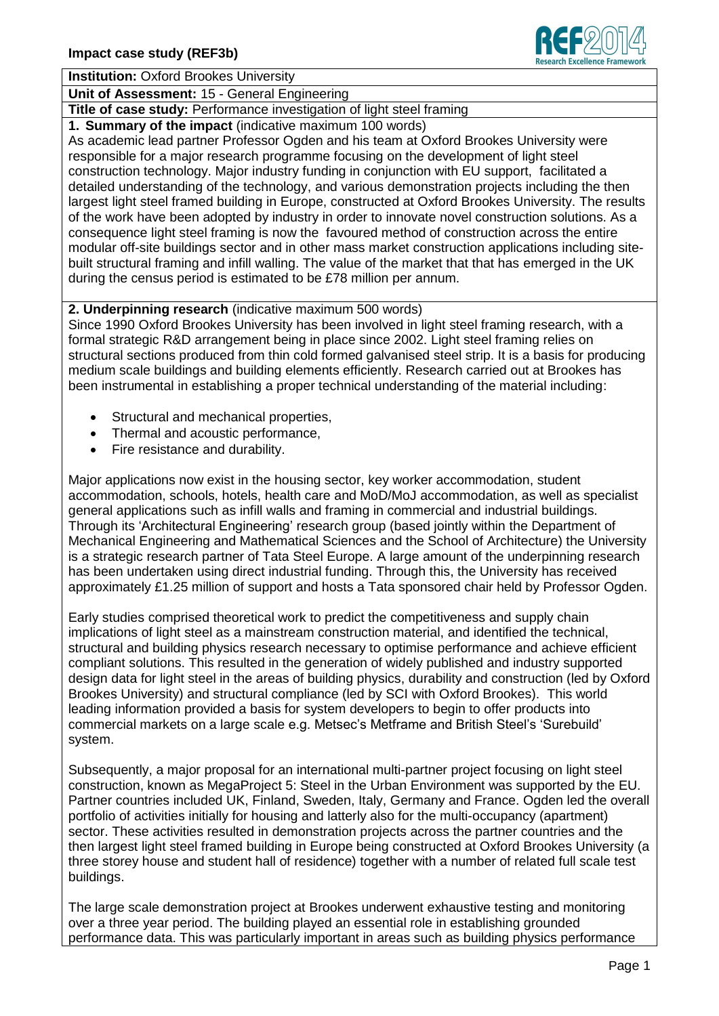

## **Institution:** Oxford Brookes University

**Unit of Assessment:** 15 - General Engineering

**Title of case study:** Performance investigation of light steel framing

**1. Summary of the impact** (indicative maximum 100 words)

As academic lead partner Professor Ogden and his team at Oxford Brookes University were responsible for a major research programme focusing on the development of light steel construction technology. Major industry funding in conjunction with EU support, facilitated a detailed understanding of the technology, and various demonstration projects including the then largest light steel framed building in Europe, constructed at Oxford Brookes University. The results of the work have been adopted by industry in order to innovate novel construction solutions. As a consequence light steel framing is now the favoured method of construction across the entire modular off-site buildings sector and in other mass market construction applications including sitebuilt structural framing and infill walling. The value of the market that that has emerged in the UK during the census period is estimated to be £78 million per annum.

## **2. Underpinning research** (indicative maximum 500 words)

Since 1990 Oxford Brookes University has been involved in light steel framing research, with a formal strategic R&D arrangement being in place since 2002. Light steel framing relies on structural sections produced from thin cold formed galvanised steel strip. It is a basis for producing medium scale buildings and building elements efficiently. Research carried out at Brookes has been instrumental in establishing a proper technical understanding of the material including:

- Structural and mechanical properties,
- Thermal and acoustic performance,
- Fire resistance and durability.

Major applications now exist in the housing sector, key worker accommodation, student accommodation, schools, hotels, health care and MoD/MoJ accommodation, as well as specialist general applications such as infill walls and framing in commercial and industrial buildings. Through its 'Architectural Engineering' research group (based jointly within the Department of Mechanical Engineering and Mathematical Sciences and the School of Architecture) the University is a strategic research partner of Tata Steel Europe. A large amount of the underpinning research has been undertaken using direct industrial funding. Through this, the University has received approximately £1.25 million of support and hosts a Tata sponsored chair held by Professor Ogden.

Early studies comprised theoretical work to predict the competitiveness and supply chain implications of light steel as a mainstream construction material, and identified the technical, structural and building physics research necessary to optimise performance and achieve efficient compliant solutions. This resulted in the generation of widely published and industry supported design data for light steel in the areas of building physics, durability and construction (led by Oxford Brookes University) and structural compliance (led by SCI with Oxford Brookes). This world leading information provided a basis for system developers to begin to offer products into commercial markets on a large scale e.g. Metsec's Metframe and British Steel's 'Surebuild' system.

Subsequently, a major proposal for an international multi-partner project focusing on light steel construction, known as MegaProject 5: Steel in the Urban Environment was supported by the EU. Partner countries included UK, Finland, Sweden, Italy, Germany and France. Ogden led the overall portfolio of activities initially for housing and latterly also for the multi-occupancy (apartment) sector. These activities resulted in demonstration projects across the partner countries and the then largest light steel framed building in Europe being constructed at Oxford Brookes University (a three storey house and student hall of residence) together with a number of related full scale test buildings.

The large scale demonstration project at Brookes underwent exhaustive testing and monitoring over a three year period. The building played an essential role in establishing grounded performance data. This was particularly important in areas such as building physics performance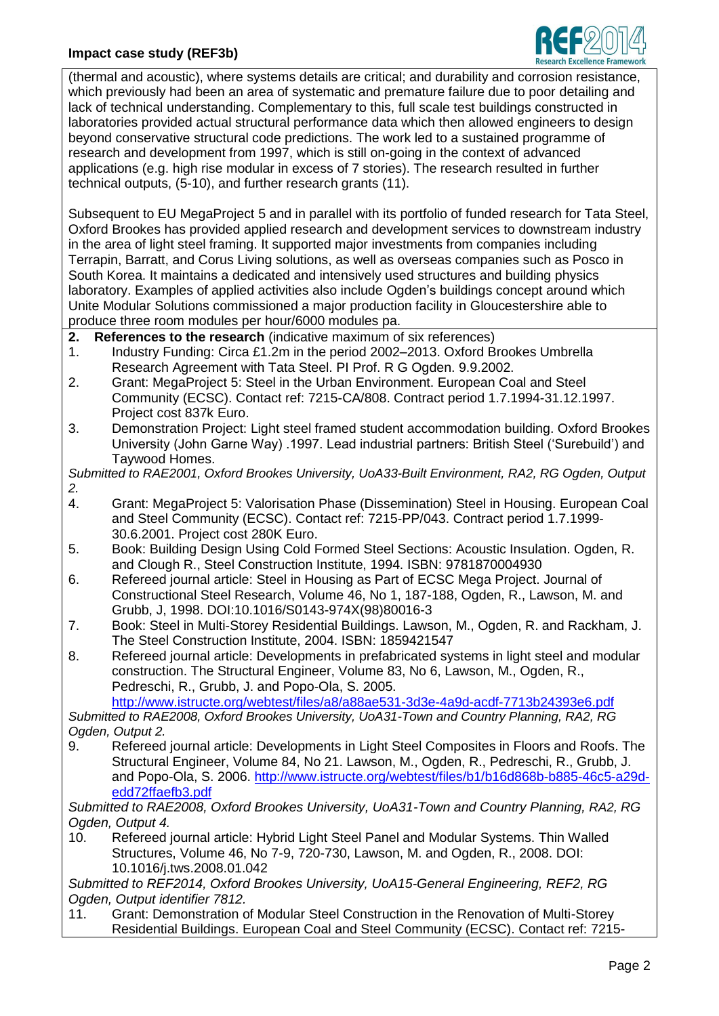

(thermal and acoustic), where systems details are critical; and durability and corrosion resistance, which previously had been an area of systematic and premature failure due to poor detailing and lack of technical understanding. Complementary to this, full scale test buildings constructed in laboratories provided actual structural performance data which then allowed engineers to design beyond conservative structural code predictions. The work led to a sustained programme of research and development from 1997, which is still on-going in the context of advanced applications (e.g. high rise modular in excess of 7 stories). The research resulted in further technical outputs, (5-10), and further research grants (11).

Subsequent to EU MegaProject 5 and in parallel with its portfolio of funded research for Tata Steel, Oxford Brookes has provided applied research and development services to downstream industry in the area of light steel framing. It supported major investments from companies including Terrapin, Barratt, and Corus Living solutions, as well as overseas companies such as Posco in South Korea. It maintains a dedicated and intensively used structures and building physics laboratory. Examples of applied activities also include Ogden's buildings concept around which Unite Modular Solutions commissioned a major production facility in Gloucestershire able to produce three room modules per hour/6000 modules pa.

- **2. References to the research** (indicative maximum of six references)
- 1. Industry Funding: Circa £1.2m in the period 2002–2013. Oxford Brookes Umbrella Research Agreement with Tata Steel. PI Prof. R G Ogden. 9.9.2002.
- 2. Grant: MegaProject 5: Steel in the Urban Environment. European Coal and Steel Community (ECSC). Contact ref: 7215-CA/808. Contract period 1.7.1994-31.12.1997. Project cost 837k Euro.
- 3. Demonstration Project: Light steel framed student accommodation building. Oxford Brookes University (John Garne Way) .1997. Lead industrial partners: British Steel ('Surebuild') and Taywood Homes.

*Submitted to RAE2001, Oxford Brookes University, UoA33-Built Environment, RA2, RG Ogden, Output 2.*

- 4. Grant: MegaProject 5: Valorisation Phase (Dissemination) Steel in Housing. European Coal and Steel Community (ECSC). Contact ref: 7215-PP/043. Contract period 1.7.1999- 30.6.2001. Project cost 280K Euro.
- 5. Book: Building Design Using Cold Formed Steel Sections: Acoustic Insulation. Ogden, R. and Clough R., Steel Construction Institute, 1994. ISBN: 9781870004930
- 6. Refereed journal article: Steel in Housing as Part of ECSC Mega Project. Journal of Constructional Steel Research, Volume 46, No 1, 187-188, Ogden, R., Lawson, M. and Grubb, J, 1998. DOI:10.1016/S0143-974X(98)80016-3
- 7. Book: Steel in Multi-Storey Residential Buildings. Lawson, M., Ogden, R. and Rackham, J. The Steel Construction Institute, 2004. ISBN: 1859421547
- 8. Refereed journal article: Developments in prefabricated systems in light steel and modular construction. The Structural Engineer, Volume 83, No 6, Lawson, M., Ogden, R., Pedreschi, R., Grubb, J. and Popo-Ola, S. 2005.

<http://www.istructe.org/webtest/files/a8/a88ae531-3d3e-4a9d-acdf-7713b24393e6.pdf> *Submitted to RAE2008, Oxford Brookes University, UoA31-Town and Country Planning, RA2, RG Ogden, Output 2.*

9. Refereed journal article: Developments in Light Steel Composites in Floors and Roofs. The Structural Engineer, Volume 84, No 21. Lawson, M., Ogden, R., Pedreschi, R., Grubb, J. and Popo-Ola, S. 2006. [http://www.istructe.org/webtest/files/b1/b16d868b-b885-46c5-a29d](http://www.istructe.org/webtest/files/b1/b16d868b-b885-46c5-a29d-edd72ffaefb3.pdf)[edd72ffaefb3.pdf](http://www.istructe.org/webtest/files/b1/b16d868b-b885-46c5-a29d-edd72ffaefb3.pdf)

*Submitted to RAE2008, Oxford Brookes University, UoA31-Town and Country Planning, RA2, RG Ogden, Output 4.*

10. Refereed journal article: Hybrid Light Steel Panel and Modular Systems. Thin Walled Structures, Volume 46, No 7-9, 720-730, Lawson, M. and Ogden, R., 2008. DOI: 10.1016/j.tws.2008.01.042

*Submitted to REF2014, Oxford Brookes University, UoA15-General Engineering, REF2, RG Ogden, Output identifier 7812.*

11. Grant: Demonstration of Modular Steel Construction in the Renovation of Multi-Storey Residential Buildings. European Coal and Steel Community (ECSC). Contact ref: 7215-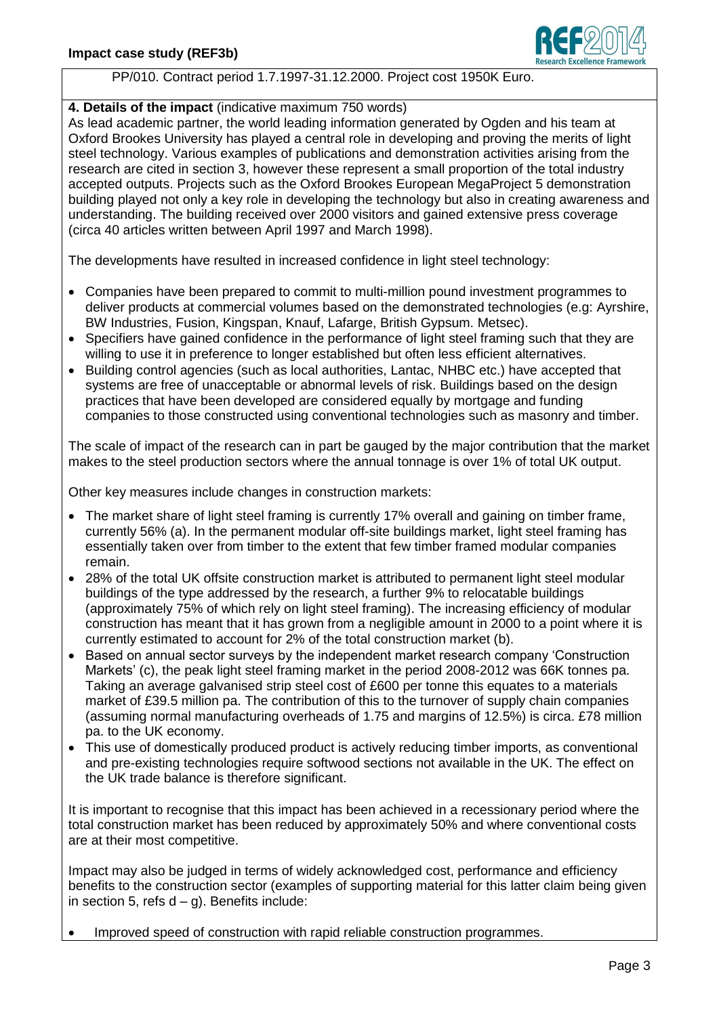

## PP/010. Contract period 1.7.1997-31.12.2000. Project cost 1950K Euro.

## **4. Details of the impact** (indicative maximum 750 words)

As lead academic partner, the world leading information generated by Ogden and his team at Oxford Brookes University has played a central role in developing and proving the merits of light steel technology. Various examples of publications and demonstration activities arising from the research are cited in section 3, however these represent a small proportion of the total industry accepted outputs. Projects such as the Oxford Brookes European MegaProject 5 demonstration building played not only a key role in developing the technology but also in creating awareness and understanding. The building received over 2000 visitors and gained extensive press coverage (circa 40 articles written between April 1997 and March 1998).

The developments have resulted in increased confidence in light steel technology:

- Companies have been prepared to commit to multi-million pound investment programmes to deliver products at commercial volumes based on the demonstrated technologies (e.g: Ayrshire, BW Industries, Fusion, Kingspan, Knauf, Lafarge, British Gypsum. Metsec).
- Specifiers have gained confidence in the performance of light steel framing such that they are willing to use it in preference to longer established but often less efficient alternatives.
- Building control agencies (such as local authorities, Lantac, NHBC etc.) have accepted that systems are free of unacceptable or abnormal levels of risk. Buildings based on the design practices that have been developed are considered equally by mortgage and funding companies to those constructed using conventional technologies such as masonry and timber.

The scale of impact of the research can in part be gauged by the major contribution that the market makes to the steel production sectors where the annual tonnage is over 1% of total UK output.

Other key measures include changes in construction markets:

- The market share of light steel framing is currently 17% overall and gaining on timber frame, currently 56% (a). In the permanent modular off-site buildings market, light steel framing has essentially taken over from timber to the extent that few timber framed modular companies remain.
- 28% of the total UK offsite construction market is attributed to permanent light steel modular buildings of the type addressed by the research, a further 9% to relocatable buildings (approximately 75% of which rely on light steel framing). The increasing efficiency of modular construction has meant that it has grown from a negligible amount in 2000 to a point where it is currently estimated to account for 2% of the total construction market (b).
- Based on annual sector surveys by the independent market research company 'Construction Markets' (c), the peak light steel framing market in the period 2008-2012 was 66K tonnes pa. Taking an average galvanised strip steel cost of £600 per tonne this equates to a materials market of £39.5 million pa. The contribution of this to the turnover of supply chain companies (assuming normal manufacturing overheads of 1.75 and margins of 12.5%) is circa. £78 million pa. to the UK economy.
- This use of domestically produced product is actively reducing timber imports, as conventional and pre-existing technologies require softwood sections not available in the UK. The effect on the UK trade balance is therefore significant.

It is important to recognise that this impact has been achieved in a recessionary period where the total construction market has been reduced by approximately 50% and where conventional costs are at their most competitive.

Impact may also be judged in terms of widely acknowledged cost, performance and efficiency benefits to the construction sector (examples of supporting material for this latter claim being given in section 5, refs  $d - q$ ). Benefits include:

Improved speed of construction with rapid reliable construction programmes.